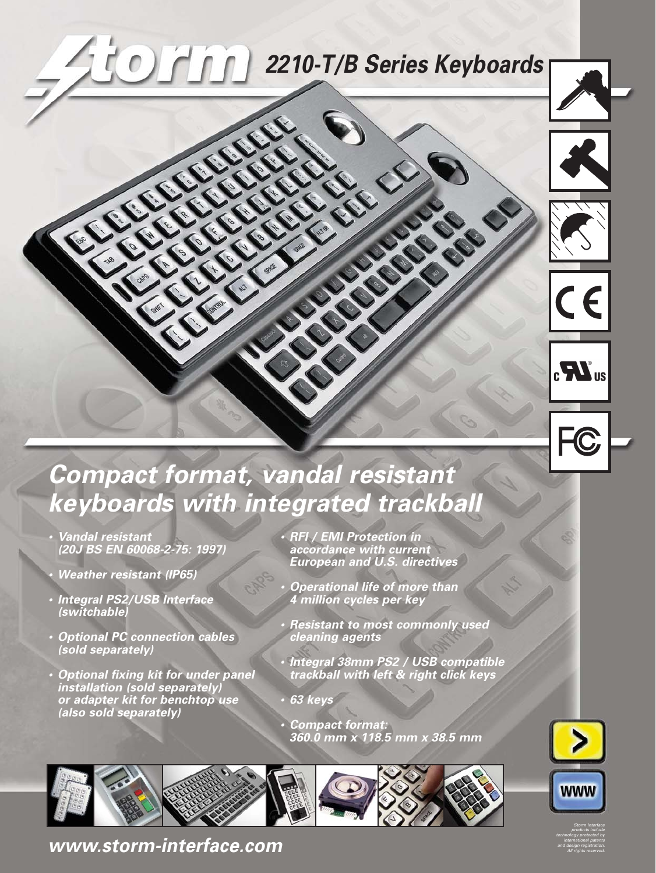# **2210-T/B Series Keyboards**

CRACTER C





## **Compact format, vandal resistant keyboards with integrated trackball**

**•**

**• Vandal resistant (20J BS EN 60068-2-75: 1997)**

LECTRONIC CAR

- **Weather resistant (IP65)**
- **• Integral PS2/USB Interface (switchable)**
- **• Optional PC connection cables (sold separately)**
- **• Optional fixing kit for under panel installation (sold separately) or adapter kit for benchtop use (also sold separately)**

 **RFI / EMI Protection in accordance with current European and U.S. directives**

CREW CREW

- **• Operational life of more than 4 million cycles per key**
- **Resistant to most commonly used cleaning agents**
- **• Integral 38mm PS2 / USB compatible trackball with left & right click keys**
- **• 63 keys**
- **• Compact format: 360.0 mm x 118.5 mm x 38.5 mm**





Storm Interface products include technology protected by international patents and design registration. All rights reserved.

**[www.storm-interface.com](http://www.storm-interface.com)**